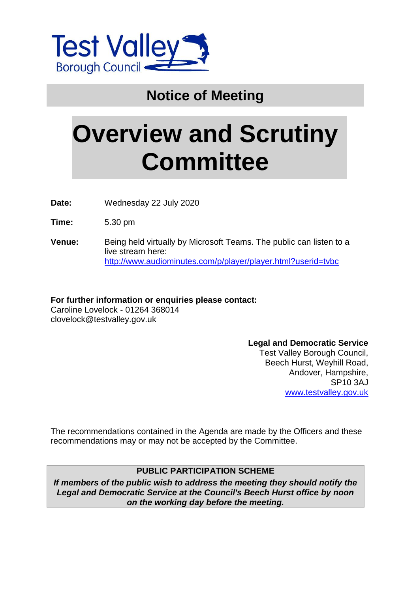

## **Notice of Meeting**

# **Overview and Scrutiny Committee**

**Date:** Wednesday 22 July 2020

**Time:** 5.30 pm

**Venue:** Being held virtually by Microsoft Teams. The public can listen to a live stream here: <http://www.audiominutes.com/p/player/player.html?userid=tvbc>

**For further information or enquiries please contact:** Caroline Lovelock - 01264 368014 clovelock@testvalley.gov.uk

> **Legal and Democratic Service** Test Valley Borough Council, Beech Hurst, Weyhill Road, Andover, Hampshire, SP10 3AJ [www.testvalley.gov.uk](http://www.testvalley.gov.uk/)

The recommendations contained in the Agenda are made by the Officers and these recommendations may or may not be accepted by the Committee.

#### **PUBLIC PARTICIPATION SCHEME**

*If members of the public wish to address the meeting they should notify the Legal and Democratic Service at the Council's Beech Hurst office by noon on the working day before the meeting.*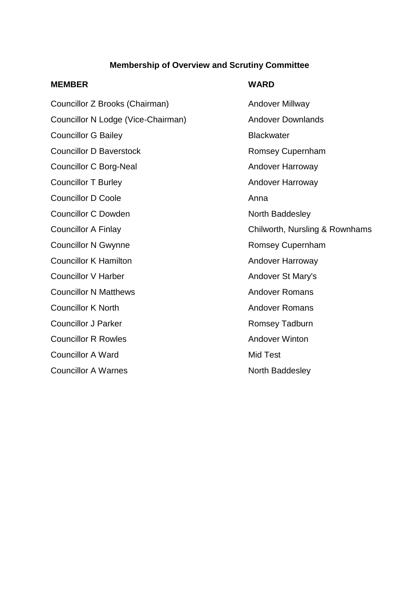#### **Membership of Overview and Scrutiny Committee**

#### **MEMBER WARD**

Councillor Z Brooks (Chairman) Andover Millway Councillor N Lodge (Vice-Chairman) Andover Downlands Councillor G Bailey **Blackwater** Blackwater Councillor D Baverstock **Romsey Cupernham** Councillor C Borg-Neal Andover Harroway Councillor T Burley **Andover Harroway** Councillor D Coole Anna Councillor C Dowden North Baddesley Councillor N Gwynne **Romsey Cupernham** Councillor K Hamilton **Andover Harroway** Councillor V Harber Andover St Mary's **Councillor N Matthews Councillor N Matthews Andover Romans Councillor K North Councillor K North Andover Romans** Councillor J Parker **Romsey Tadburn** Romsey Tadburn **Councillor R Rowles Councillor R Rowles** Councillor A Ward Mid Test Councillor A Warnes North Baddesley

Councillor A Finlay Councillor A Finlay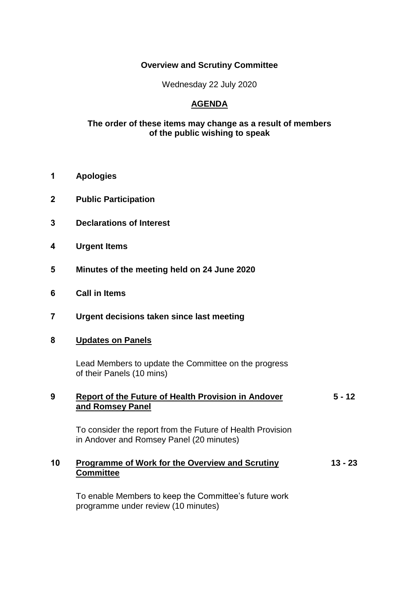#### **Overview and Scrutiny Committee**

Wednesday 22 July 2020

### **AGENDA**

#### **The order of these items may change as a result of members of the public wishing to speak**

- **1 Apologies**
- **2 Public Participation**
- **3 Declarations of Interest**
- **4 Urgent Items**
- **5 Minutes of the meeting held on 24 June 2020**
- **6 Call in Items**
- **7 Urgent decisions taken since last meeting**

#### **8 Updates on Panels**

Lead Members to update the Committee on the progress of their Panels (10 mins)

#### **9 Report of the Future of Health Provision in Andover and Romsey Panel 5 - 12**

To consider the report from the Future of Health Provision in Andover and Romsey Panel (20 minutes)

#### **10 Programme of Work for the Overview and Scrutiny Committee 13 - 23**

To enable Members to keep the Committee's future work programme under review (10 minutes)